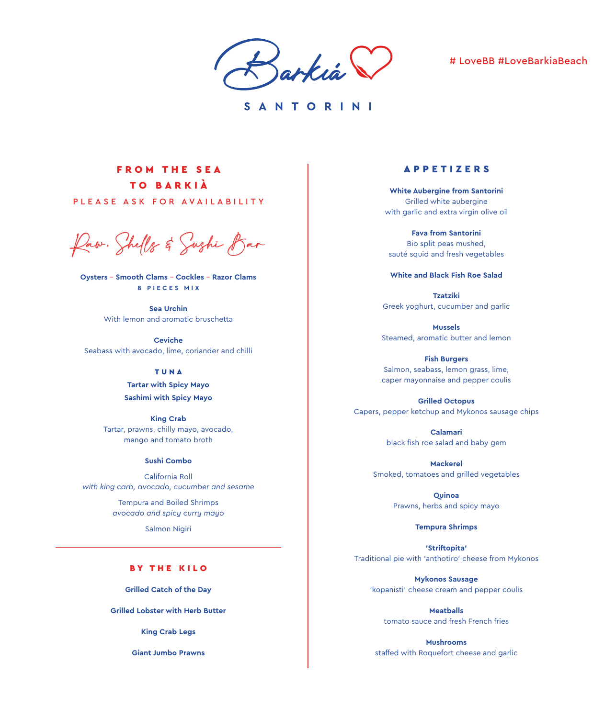Sarkia

# # LoveBB #LoveBarkiaBeach

SANTORINI

# FROM THE SEA TO BARKIÀ

PLEASE ASK FOR AVAILABILITY

Raw, Shells & Sushi Bar

**Oysters** – **Smooth Clams** – **Cockles** – **Razor Clams 8 P I E C E S M I X** 

> **Sea Urchin** With lemon and aromatic bruschetta

**Ceviche** Seabass with avocado, lime, coriander and chilli

## TUNA

**Tartar with Spicy Mayo Sashimi with Spicy Mayo**

**King Crab** Tartar, prawns, chilly mayo, avocado, mango and tomato broth

### **Sushi Combo**

California Roll *with king carb, avocado, cucumber and sesame*

> Tempura and Boiled Shrimps *avocado and spicy curry mayo*

> > Salmon Nigiri

# BY THE KILO

**Grilled Catch of the Day**

**Grilled Lobster with Herb Butter**

**King Crab Legs**

**Giant Jumbo Prawns**

# APPETIZERS

**White Aubergine from Santorini** Grilled white aubergine with garlic and extra virgin olive oil

**Fava from Santorini** Bio split peas mushed, sauté squid and fresh vegetables

#### **White and Black Fish Roe Salad**

**Tzatziki** Greek yoghurt, cucumber and garlic

**Mussels** Steamed, aromatic butter and lemon

**Fish Burgers** Salmon, seabass, lemon grass, lime, caper mayonnaise and pepper coulis

**Grilled Octopus** Capers, pepper ketchup and Mykonos sausage chips

> **Calamari**  black fish roe salad and baby gem

**Mackerel**  Smoked, tomatoes and grilled vegetables

> **Quinoa** Prawns, herbs and spicy mayo

> > **Tempura Shrimps**

**'Striftopita'** Traditional pie with 'anthotiro' cheese from Mykonos

**Mykonos Sausage**  'kopanisti' cheese cream and pepper coulis

**Meatballs** tomato sauce and fresh French fries

**Mushrooms** staffed with Roquefort cheese and garlic